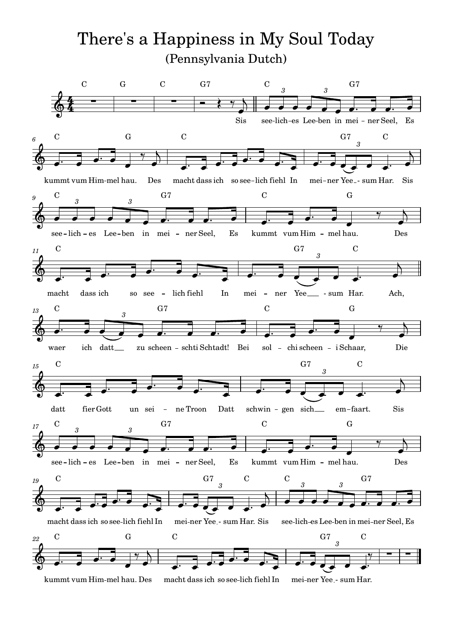#### (Pennsylvania Dutch)  $\mathrm{There's}\; \mathrm{a}\; \mathrm{l}$ s a Happiness in My Soul Today

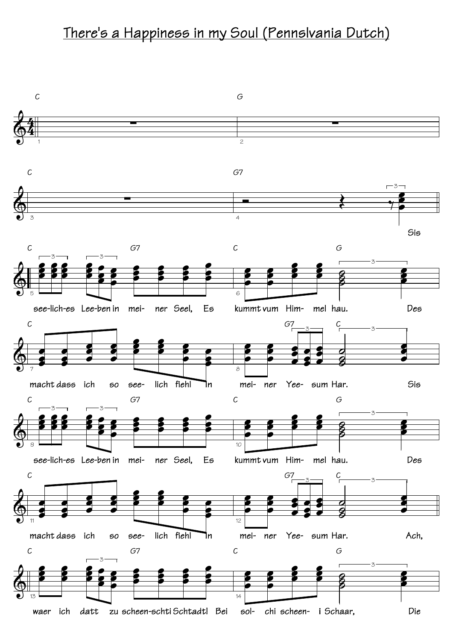#### There's a Happiness in my Soul (Pennslvania Dutch)

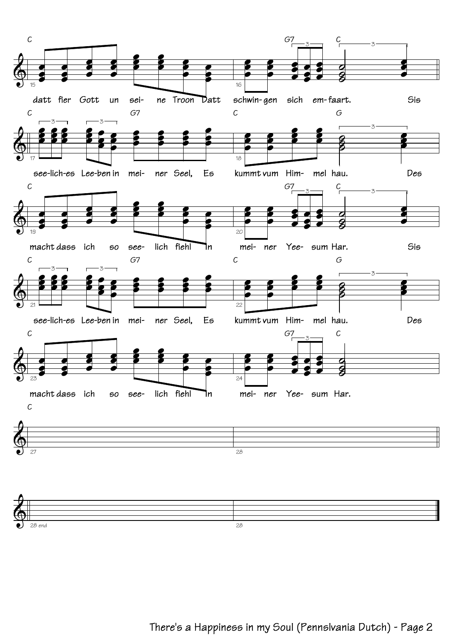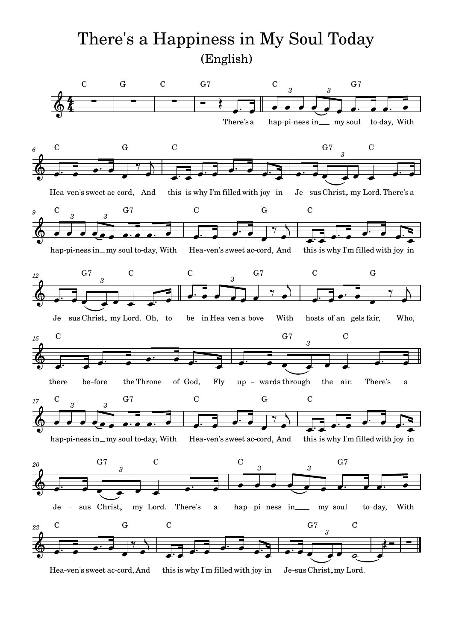#### (English)  $\mathrm{There's}\; \mathrm{a}\; \mathrm{l}$ s a Happiness in My Soul Today

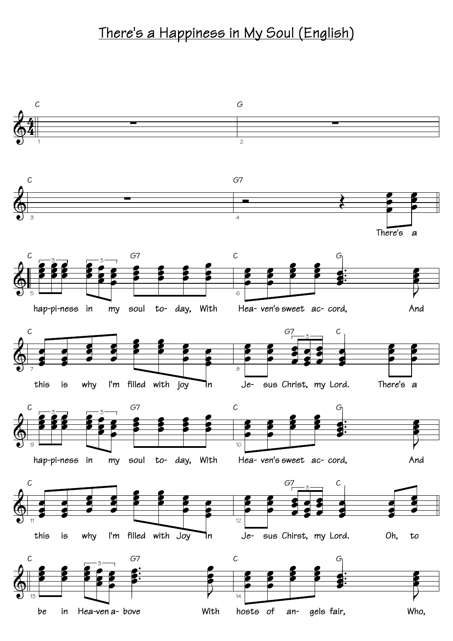### There's a Happiness in My Soul (English)

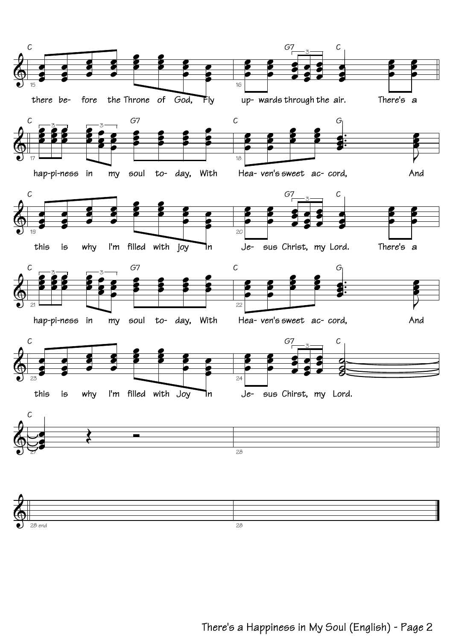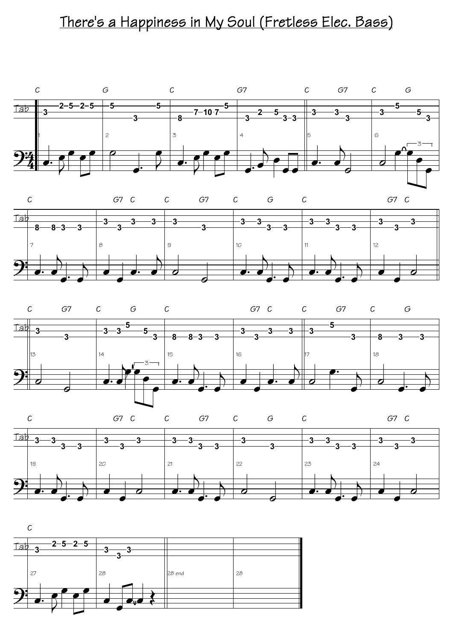### There's a Happiness in My Soul (Fretless Elec. Bass)









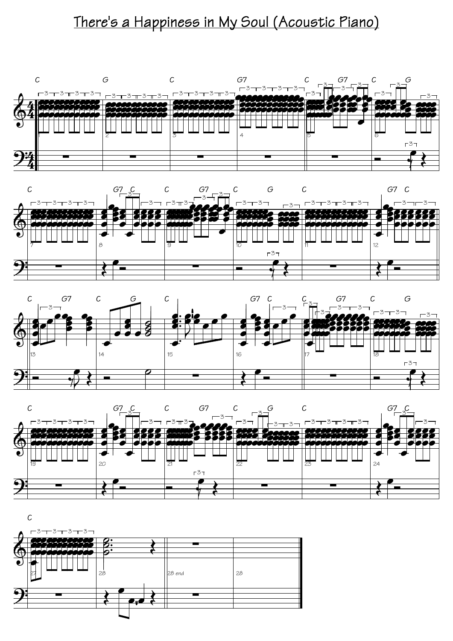## There's a Happiness in My Soul (Acoustic Piano)









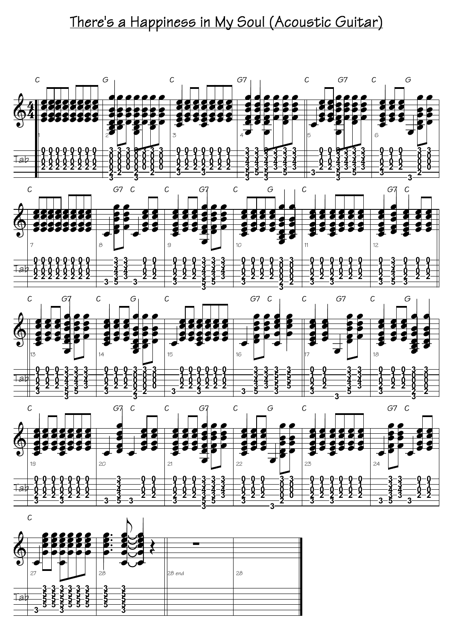## There's a Happiness in My Soul (Acoustic Guitar)



![](_page_8_Figure_2.jpeg)